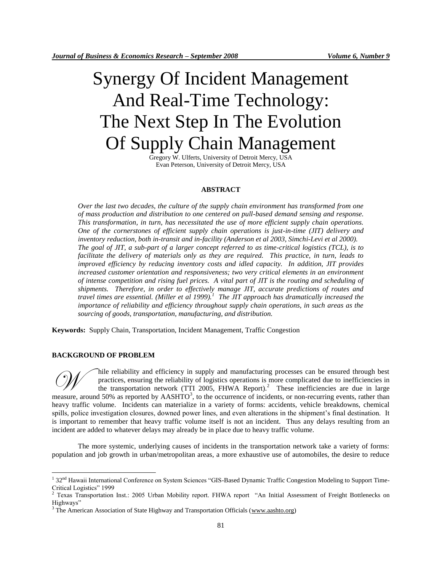# Synergy Of Incident Management And Real-Time Technology: The Next Step In The Evolution Of Supply Chain Management

Gregory W. Ulferts, University of Detroit Mercy, USA Evan Peterson, University of Detroit Mercy, USA

### **ABSTRACT**

*Over the last two decades, the culture of the supply chain environment has transformed from one of mass production and distribution to one centered on pull-based demand sensing and response. This transformation, in turn, has necessitated the use of more efficient supply chain operations. One of the cornerstones of efficient supply chain operations is just-in-time (JIT) delivery and inventory reduction, both in-transit and in-facility (Anderson et al 2003, Simchi-Levi et al 2000). The goal of JIT, a sub-part of a larger concept referred to as time-critical logistics (TCL), is to facilitate the delivery of materials only as they are required. This practice, in turn, leads to improved efficiency by reducing inventory costs and idled capacity. In addition, JIT provides increased customer orientation and responsiveness; two very critical elements in an environment of intense competition and rising fuel prices. A vital part of JIT is the routing and scheduling of shipments. Therefore, in order to effectively manage JIT, accurate predictions of routes and travel times are essential. (Miller et al 1999).<sup>1</sup> The JIT approach has dramatically increased the importance of reliability and efficiency throughout supply chain operations, in such areas as the sourcing of goods, transportation, manufacturing, and distribution.* 

**Keywords:** Supply Chain, Transportation, Incident Management, Traffic Congestion

#### **BACKGROUND OF PROBLEM**

 $\overline{a}$ 

hile reliability and efficiency in supply and manufacturing processes can be ensured through best practices, ensuring the reliability of logistics operations is more complicated due to inefficiencies in the transportation network (TTI 2005, FHWA Report).<sup>2</sup> These inefficiencies are due in large mile reliability and efficiency in supply and manufacturing processes can be ensured through best<br>practices, ensuring the reliability of logistics operations is more complicated due to inefficiencies in<br>the transportation heavy traffic volume. Incidents can materialize in a variety of forms: accidents, vehicle breakdowns, chemical spills, police investigation closures, downed power lines, and even alterations in the shipment's final destination. It is important to remember that heavy traffic volume itself is not an incident. Thus any delays resulting from an incident are added to whatever delays may already be in place due to heavy traffic volume.

The more systemic, underlying causes of incidents in the transportation network take a variety of forms: population and job growth in urban/metropolitan areas, a more exhaustive use of automobiles, the desire to reduce

<sup>&</sup>lt;sup>1</sup> 32<sup>nd</sup> Hawaii International Conference on System Sciences "GIS-Based Dynamic Traffic Congestion Modeling to Support Time-Critical Logistics" 1999

<sup>2</sup> Texas Transportation Inst.: 2005 Urban Mobility report. FHWA report "An Initial Assessment of Freight Bottlenecks on Highways"

 $3$  The American Association of State Highway and Transportation Officials [\(www.aashto.org\)](http://www.aashto.org/)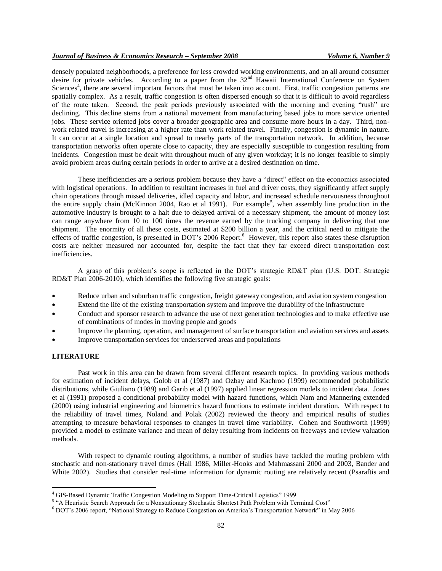densely populated neighborhoods, a preference for less crowded working environments, and an all around consumer desire for private vehicles. According to a paper from the  $32<sup>nd</sup>$  Hawaii International Conference on System Sciences<sup>4</sup>, there are several important factors that must be taken into account. First, traffic congestion patterns are spatially complex. As a result, traffic congestion is often dispersed enough so that it is difficult to avoid regardless of the route taken. Second, the peak periods previously associated with the morning and evening "rush" are declining. This decline stems from a national movement from manufacturing based jobs to more service oriented jobs. These service oriented jobs cover a broader geographic area and consume more hours in a day. Third, nonwork related travel is increasing at a higher rate than work related travel. Finally, congestion is dynamic in nature. It can occur at a single location and spread to nearby parts of the transportation network. In addition, because transportation networks often operate close to capacity, they are especially susceptible to congestion resulting from incidents. Congestion must be dealt with throughout much of any given workday; it is no longer feasible to simply avoid problem areas during certain periods in order to arrive at a desired destination on time.

These inefficiencies are a serious problem because they have a "direct" effect on the economics associated with logistical operations. In addition to resultant increases in fuel and driver costs, they significantly affect supply chain operations through missed deliveries, idled capacity and labor, and increased schedule nervousness throughout the entire supply chain (McKinnon 2004, Rao et al 1991). For example<sup>5</sup>, when assembly line production in the automotive industry is brought to a halt due to delayed arrival of a necessary shipment, the amount of money lost can range anywhere from 10 to 100 times the revenue earned by the trucking company in delivering that one shipment. The enormity of all these costs, estimated at \$200 billion a year, and the critical need to mitigate the effects of traffic congestion, is presented in DOT's 2006 Report.<sup>6</sup> However, this report also states these disruption costs are neither measured nor accounted for, despite the fact that they far exceed direct transportation cost inefficiencies.

A grasp of this problem's scope is reflected in the DOT's strategic RD&T plan (U.S. DOT: Strategic RD&T Plan 2006-2010), which identifies the following five strategic goals:

- Reduce urban and suburban traffic congestion, freight gateway congestion, and aviation system congestion
- Extend the life of the existing transportation system and improve the durability of the infrastructure
- Conduct and sponsor research to advance the use of next generation technologies and to make effective use of combinations of modes in moving people and goods
- Improve the planning, operation, and management of surface transportation and aviation services and assets
- Improve transportation services for underserved areas and populations

#### **LITERATURE**

 $\overline{a}$ 

Past work in this area can be drawn from several different research topics. In providing various methods for estimation of incident delays, Golob et al (1987) and Ozbay and Kachroo (1999) recommended probabilistic distributions, while Giuliano (1989) and Garib et al (1997) applied linear regression models to incident data. Jones et al (1991) proposed a conditional probability model with hazard functions, which Nam and Mannering extended (2000) using industrial engineering and biometrics hazard functions to estimate incident duration. With respect to the reliability of travel times, Noland and Polak (2002) reviewed the theory and empirical results of studies attempting to measure behavioral responses to changes in travel time variability. Cohen and Southworth (1999) provided a model to estimate variance and mean of delay resulting from incidents on freeways and review valuation methods.

With respect to dynamic routing algorithms, a number of studies have tackled the routing problem with stochastic and non-stationary travel times (Hall 1986, Miller-Hooks and Mahmassani 2000 and 2003, Bander and White 2002). Studies that consider real-time information for dynamic routing are relatively recent (Psaraftis and

<sup>4</sup> GIS-Based Dynamic Traffic Congestion Modeling to Support Time-Critical Logistics" 1999

<sup>5</sup> "A Heuristic Search Approach for a Nonstationary Stochastic Shortest Path Problem with Terminal Cost"

<sup>6</sup> DOT's 2006 report, "National Strategy to Reduce Congestion on America's Transportation Network" in May 2006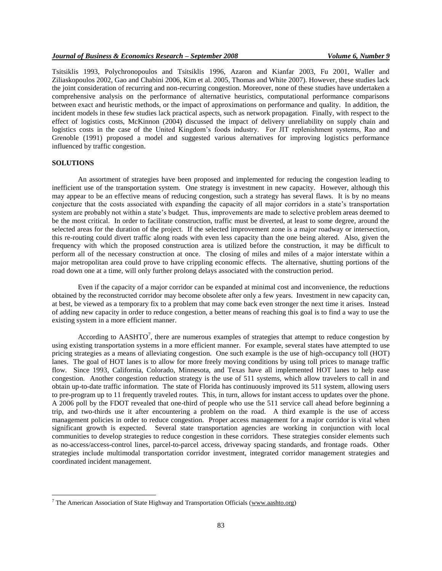Tsitsiklis 1993, Polychronopoulos and Tsitsiklis 1996, Azaron and Kianfar 2003, Fu 2001, Waller and Ziliaskopoulos 2002, Gao and Chabini 2006, Kim et al. 2005, Thomas and White 2007). However, these studies lack the joint consideration of recurring and non-recurring congestion. Moreover, none of these studies have undertaken a comprehensive analysis on the performance of alternative heuristics, computational performance comparisons between exact and heuristic methods, or the impact of approximations on performance and quality. In addition, the incident models in these few studies lack practical aspects, such as network propagation. Finally, with respect to the effect of logistics costs, McKinnon (2004) discussed the impact of delivery unreliability on supply chain and logistics costs in the case of the United Kingdom's foods industry. For JIT replenishment systems, Rao and Grenoble (1991) proposed a model and suggested various alternatives for improving logistics performance influenced by traffic congestion.

### **SOLUTIONS**

 $\overline{a}$ 

An assortment of strategies have been proposed and implemented for reducing the congestion leading to inefficient use of the transportation system. One strategy is investment in new capacity. However, although this may appear to be an effective means of reducing congestion, such a strategy has several flaws. It is by no means conjecture that the costs associated with expanding the capacity of all major corridors in a state's transportation system are probably not within a state's budget. Thus, improvements are made to selective problem areas deemed to be the most critical. In order to facilitate construction, traffic must be diverted, at least to some degree, around the selected areas for the duration of the project. If the selected improvement zone is a major roadway or intersection, this re-routing could divert traffic along roads with even less capacity than the one being altered. Also, given the frequency with which the proposed construction area is utilized before the construction, it may be difficult to perform all of the necessary construction at once. The closing of miles and miles of a major interstate within a major metropolitan area could prove to have crippling economic effects. The alternative, shutting portions of the road down one at a time, will only further prolong delays associated with the construction period.

Even if the capacity of a major corridor can be expanded at minimal cost and inconvenience, the reductions obtained by the reconstructed corridor may become obsolete after only a few years. Investment in new capacity can, at best, be viewed as a temporary fix to a problem that may come back even stronger the next time it arises. Instead of adding new capacity in order to reduce congestion, a better means of reaching this goal is to find a way to use the existing system in a more efficient manner.

According to  $AASHTO<sup>7</sup>$ , there are numerous examples of strategies that attempt to reduce congestion by using existing transportation systems in a more efficient manner. For example, several states have attempted to use pricing strategies as a means of alleviating congestion. One such example is the use of high-occupancy toll (HOT) lanes. The goal of HOT lanes is to allow for more freely moving conditions by using toll prices to manage traffic flow. Since 1993, California, Colorado, Minnesota, and Texas have all implemented HOT lanes to help ease congestion. Another congestion reduction strategy is the use of 511 systems, which allow travelers to call in and obtain up-to-date traffic information. The state of Florida has continuously improved its 511 system, allowing users to pre-program up to 11 frequently traveled routes. This, in turn, allows for instant access to updates over the phone. A 2006 poll by the FDOT revealed that one-third of people who use the 511 service call ahead before beginning a trip, and two-thirds use it after encountering a problem on the road. A third example is the use of access management policies in order to reduce congestion. Proper access management for a major corridor is vital when significant growth is expected. Several state transportation agencies are working in conjunction with local communities to develop strategies to reduce congestion in these corridors. These strategies consider elements such as no-access/access-control lines, parcel-to-parcel access, driveway spacing standards, and frontage roads. Other strategies include multimodal transportation corridor investment, integrated corridor management strategies and coordinated incident management.

<sup>&</sup>lt;sup>7</sup> The American Association of State Highway and Transportation Officials [\(www.aashto.org\)](http://www.aashto.org/)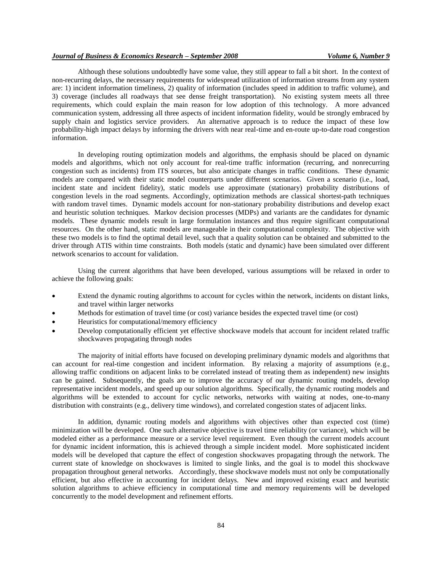#### *Journal of Business & Economics Research – September 2008 Volume 6, Number 9*

Although these solutions undoubtedly have some value, they still appear to fall a bit short. In the context of non-recurring delays, the necessary requirements for widespread utilization of information streams from any system are: 1) incident information timeliness, 2) quality of information (includes speed in addition to traffic volume), and 3) coverage (includes all roadways that see dense freight transportation). No existing system meets all three requirements, which could explain the main reason for low adoption of this technology. A more advanced communication system, addressing all three aspects of incident information fidelity, would be strongly embraced by supply chain and logistics service providers. An alternative approach is to reduce the impact of these low probability-high impact delays by informing the drivers with near real-time and en-route up-to-date road congestion information.

In developing routing optimization models and algorithms, the emphasis should be placed on dynamic models and algorithms, which not only account for real-time traffic information (recurring, and nonrecurring congestion such as incidents) from ITS sources, but also anticipate changes in traffic conditions. These dynamic models are compared with their static model counterparts under different scenarios. Given a scenario (i.e., load, incident state and incident fidelity), static models use approximate (stationary) probability distributions of congestion levels in the road segments. Accordingly, optimization methods are classical shortest-path techniques with random travel times. Dynamic models account for non-stationary probability distributions and develop exact and heuristic solution techniques. Markov decision processes (MDPs) and variants are the candidates for dynamic models. These dynamic models result in large formulation instances and thus require significant computational resources. On the other hand, static models are manageable in their computational complexity. The objective with these two models is to find the optimal detail level, such that a quality solution can be obtained and submitted to the driver through ATIS within time constraints. Both models (static and dynamic) have been simulated over different network scenarios to account for validation.

Using the current algorithms that have been developed, various assumptions will be relaxed in order to achieve the following goals:

- Extend the dynamic routing algorithms to account for cycles within the network, incidents on distant links, and travel within larger networks
- Methods for estimation of travel time (or cost) variance besides the expected travel time (or cost)
- Heuristics for computational/memory efficiency
- Develop computationally efficient yet effective shockwave models that account for incident related traffic shockwaves propagating through nodes

The majority of initial efforts have focused on developing preliminary dynamic models and algorithms that can account for real-time congestion and incident information. By relaxing a majority of assumptions (e.g., allowing traffic conditions on adjacent links to be correlated instead of treating them as independent) new insights can be gained. Subsequently, the goals are to improve the accuracy of our dynamic routing models, develop representative incident models, and speed up our solution algorithms. Specifically, the dynamic routing models and algorithms will be extended to account for cyclic networks, networks with waiting at nodes, one-to-many distribution with constraints (e.g., delivery time windows), and correlated congestion states of adjacent links.

In addition, dynamic routing models and algorithms with objectives other than expected cost (time) minimization will be developed. One such alternative objective is travel time reliability (or variance), which will be modeled either as a performance measure or a service level requirement. Even though the current models account for dynamic incident information, this is achieved through a simple incident model. More sophisticated incident models will be developed that capture the effect of congestion shockwaves propagating through the network. The current state of knowledge on shockwaves is limited to single links, and the goal is to model this shockwave propagation throughout general networks. Accordingly, these shockwave models must not only be computationally efficient, but also effective in accounting for incident delays. New and improved existing exact and heuristic solution algorithms to achieve efficiency in computational time and memory requirements will be developed concurrently to the model development and refinement efforts.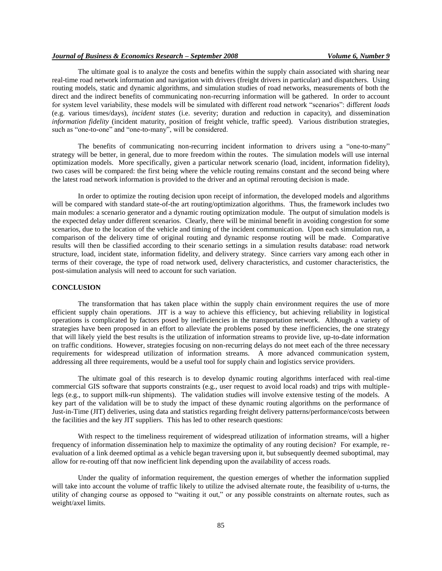#### *Journal of Business & Economics Research – September 2008 Volume 6, Number 9*

The ultimate goal is to analyze the costs and benefits within the supply chain associated with sharing near real-time road network information and navigation with drivers (freight drivers in particular) and dispatchers. Using routing models, static and dynamic algorithms, and simulation studies of road networks, measurements of both the direct and the indirect benefits of communicating non-recurring information will be gathered. In order to account for system level variability, these models will be simulated with different road network "scenarios": different *loads*  (e.g. various times/days), *incident states* (i.e. severity; duration and reduction in capacity), and dissemination *information fidelity* (incident maturity, position of freight vehicle, traffic speed). Various distribution strategies, such as "one-to-one" and "one-to-many", will be considered.

The benefits of communicating non-recurring incident information to drivers using a "one-to-many" strategy will be better, in general, due to more freedom within the routes. The simulation models will use internal optimization models. More specifically, given a particular network scenario (load, incident, information fidelity), two cases will be compared: the first being where the vehicle routing remains constant and the second being where the latest road network information is provided to the driver and an optimal rerouting decision is made.

In order to optimize the routing decision upon receipt of information, the developed models and algorithms will be compared with standard state-of-the art routing/optimization algorithms. Thus, the framework includes two main modules: a scenario generator and a dynamic routing optimization module. The output of simulation models is the expected delay under different scenarios. Clearly, there will be minimal benefit in avoiding congestion for some scenarios, due to the location of the vehicle and timing of the incident communication. Upon each simulation run, a comparison of the delivery time of original routing and dynamic response routing will be made. Comparative results will then be classified according to their scenario settings in a simulation results database: road network structure, load, incident state, information fidelity, and delivery strategy. Since carriers vary among each other in terms of their coverage, the type of road network used, delivery characteristics, and customer characteristics, the post-simulation analysis will need to account for such variation.

#### **CONCLUSION**

The transformation that has taken place within the supply chain environment requires the use of more efficient supply chain operations. JIT is a way to achieve this efficiency, but achieving reliability in logistical operations is complicated by factors posed by inefficiencies in the transportation network. Although a variety of strategies have been proposed in an effort to alleviate the problems posed by these inefficiencies, the one strategy that will likely yield the best results is the utilization of information streams to provide live, up-to-date information on traffic conditions. However, strategies focusing on non-recurring delays do not meet each of the three necessary requirements for widespread utilization of information streams. A more advanced communication system, addressing all three requirements, would be a useful tool for supply chain and logistics service providers.

The ultimate goal of this research is to develop dynamic routing algorithms interfaced with real-time commercial GIS software that supports constraints (e.g., user request to avoid local roads) and trips with multiplelegs (e.g., to support milk-run shipments). The validation studies will involve extensive testing of the models. A key part of the validation will be to study the impact of these dynamic routing algorithms on the performance of Just-in-Time (JIT) deliveries, using data and statistics regarding freight delivery patterns/performance/costs between the facilities and the key JIT suppliers. This has led to other research questions:

With respect to the timeliness requirement of widespread utilization of information streams, will a higher frequency of information dissemination help to maximize the optimality of any routing decision? For example, reevaluation of a link deemed optimal as a vehicle began traversing upon it, but subsequently deemed suboptimal, may allow for re-routing off that now inefficient link depending upon the availability of access roads.

Under the quality of information requirement, the question emerges of whether the information supplied will take into account the volume of traffic likely to utilize the advised alternate route, the feasibility of u-turns, the utility of changing course as opposed to "waiting it out," or any possible constraints on alternate routes, such as weight/axel limits.